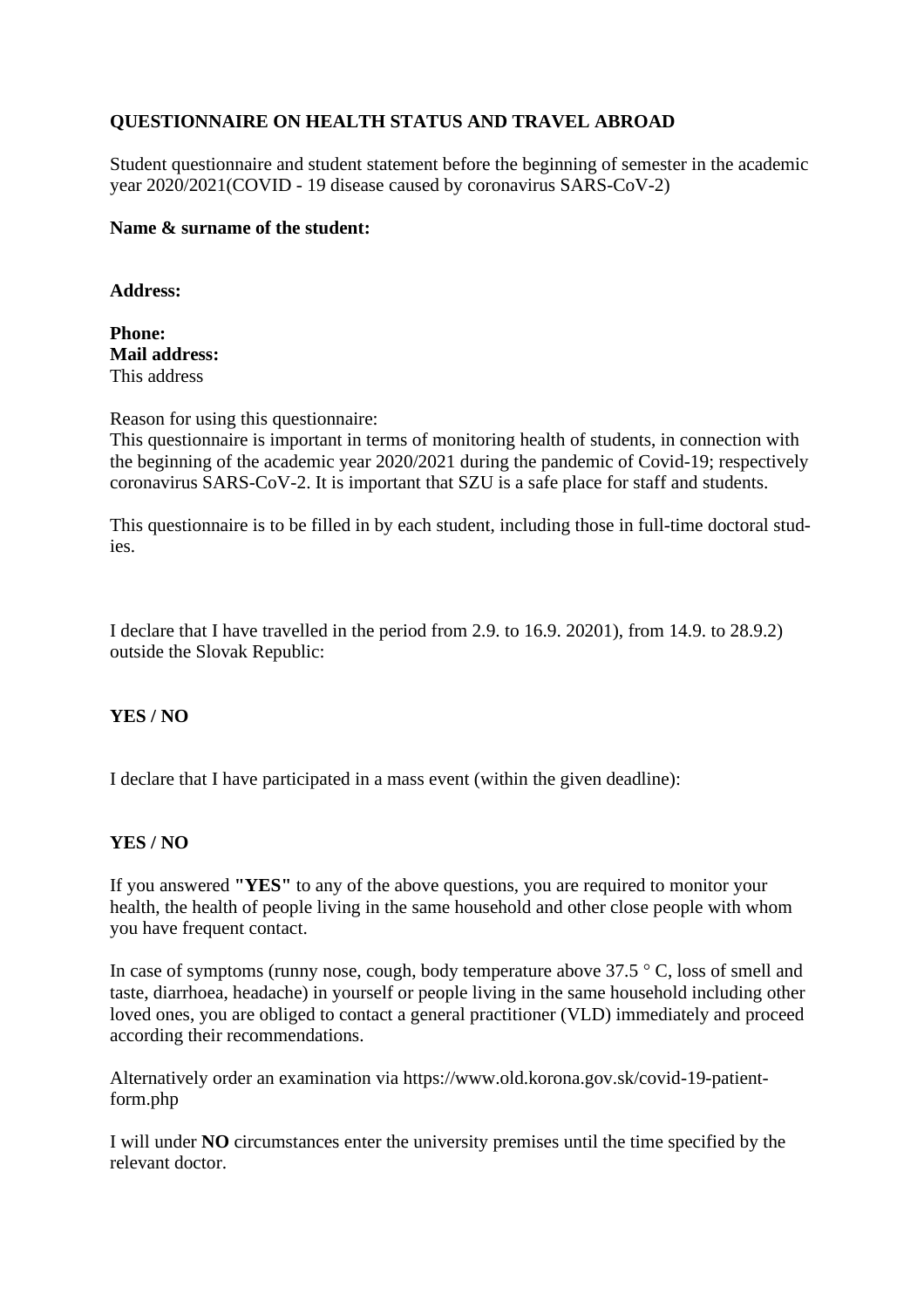# **QUESTIONNAIRE ON HEALTH STATUS AND TRAVEL ABROAD**

Student questionnaire and student statement before the beginning of semester in the academic year 2020/2021(COVID - 19 disease caused by coronavirus SARS-CoV-2)

#### **Name & surname of the student:**

**Address:**

**Phone: Mail address:** This address

Reason for using this questionnaire:

This questionnaire is important in terms of monitoring health of students, in connection with the beginning of the academic year 2020/2021 during the pandemic of Covid-19; respectively coronavirus SARS-CoV-2. It is important that SZU is a safe place for staff and students.

This questionnaire is to be filled in by each student, including those in full-time doctoral studies.

I declare that I have travelled in the period from 2.9. to 16.9. 20201), from 14.9. to 28.9.2) outside the Slovak Republic:

# **YES / NO**

I declare that I have participated in a mass event (within the given deadline):

# **YES / NO**

If you answered **"YES"** to any of the above questions, you are required to monitor your health, the health of people living in the same household and other close people with whom you have frequent contact.

In case of symptoms (runny nose, cough, body temperature above 37.5 °C, loss of smell and taste, diarrhoea, headache) in yourself or people living in the same household including other loved ones, you are obliged to contact a general practitioner (VLD) immediately and proceed according their recommendations.

Alternatively order an examination via https://www.old.korona.gov.sk/covid-19-patientform.php

I will under **NO** circumstances enter the university premises until the time specified by the relevant doctor.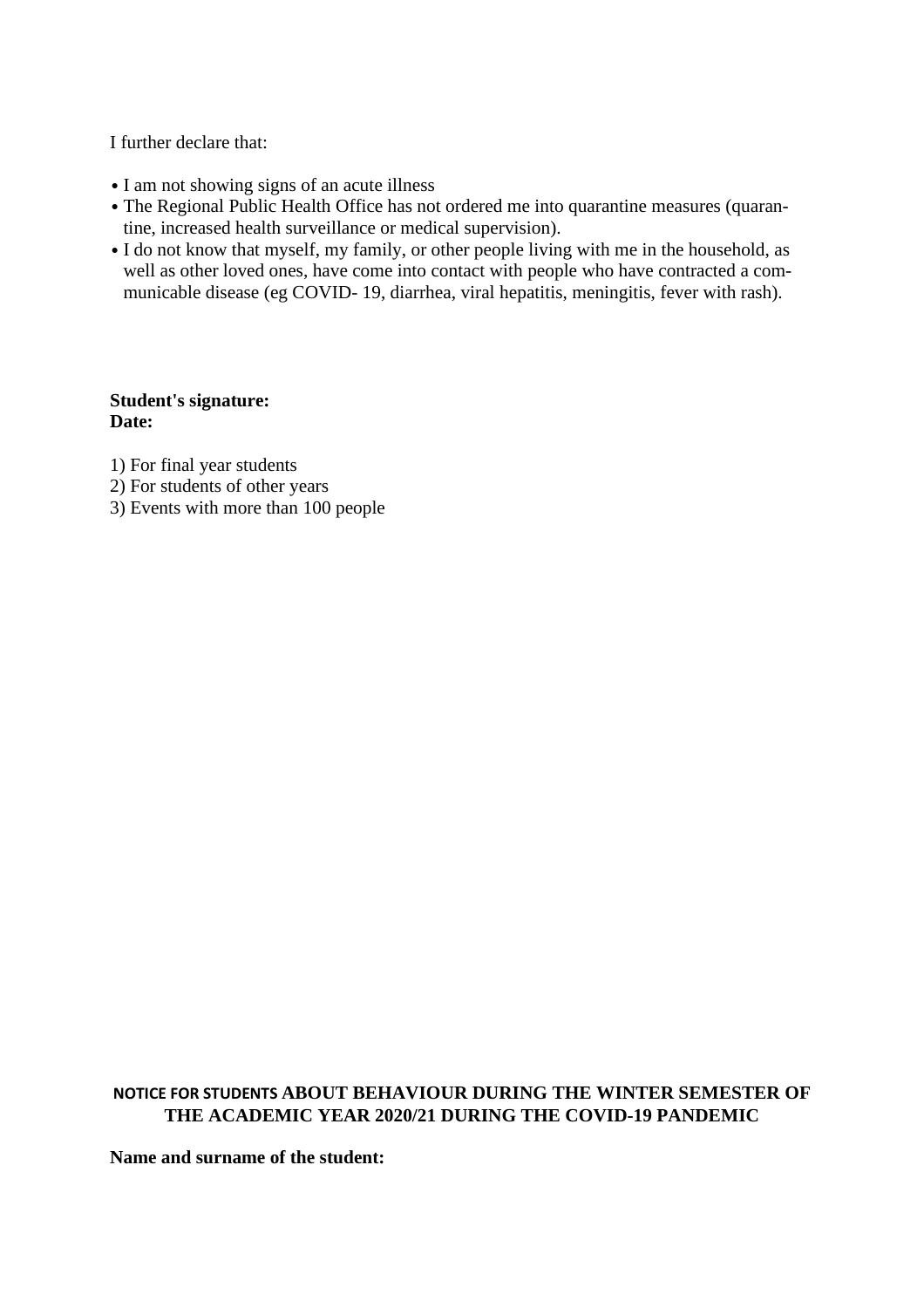I further declare that:

- I am not showing signs of an acute illness
- The Regional Public Health Office has not ordered me into quarantine measures (quarantine, increased health surveillance or medical supervision).
- I do not know that myself, my family, or other people living with me in the household, as well as other loved ones, have come into contact with people who have contracted a communicable disease (eg COVID- 19, diarrhea, viral hepatitis, meningitis, fever with rash).

#### **Student's signature: Date:**

- 1) For final year students
- 2) For students of other years
- 3) Events with more than 100 people

# **NOTICE FOR STUDENTS ABOUT BEHAVIOUR DURING THE WINTER SEMESTER OF THE ACADEMIC YEAR 2020/21 DURING THE COVID-19 PANDEMIC**

**Name and surname of the student:**